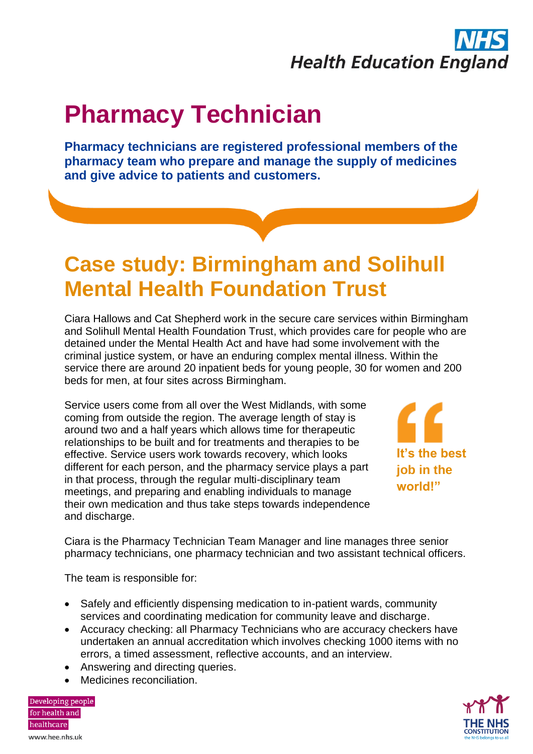## **Health Education England**

## **Pharmacy Technician**

**Pharmacy technicians are registered professional members of the pharmacy team who prepare and manage the supply of medicines and give advice to patients and customers.**

## **Case study: Birmingham and Solihull Mental Health Foundation Trust**

Ciara Hallows and Cat Shepherd work in the secure care services within Birmingham and Solihull Mental Health Foundation Trust, which provides care for people who are detained under the Mental Health Act and have had some involvement with the criminal justice system, or have an enduring complex mental illness. Within the service there are around 20 inpatient beds for young people, 30 for women and 200 beds for men, at four sites across Birmingham.

Service users come from all over the West Midlands, with some coming from outside the region. The average length of stay is around two and a half years which allows time for therapeutic relationships to be built and for treatments and therapies to be effective. Service users work towards recovery, which looks different for each person, and the pharmacy service plays a part in that process, through the regular multi-disciplinary team meetings, and preparing and enabling individuals to manage their own medication and thus take steps towards independence and discharge.



Ciara is the Pharmacy Technician Team Manager and line manages three senior pharmacy technicians, one pharmacy technician and two assistant technical officers.

The team is responsible for:

- Safely and efficiently dispensing medication to in-patient wards, community services and coordinating medication for community leave and discharge.
- Accuracy checking: all Pharmacy Technicians who are accuracy checkers have undertaken an annual accreditation which involves checking 1000 items with no errors, a timed assessment, reflective accounts, and an interview.
- Answering and directing queries.
- Medicines reconciliation.

Developing people for health and healthcare www.hee.nhs.uk

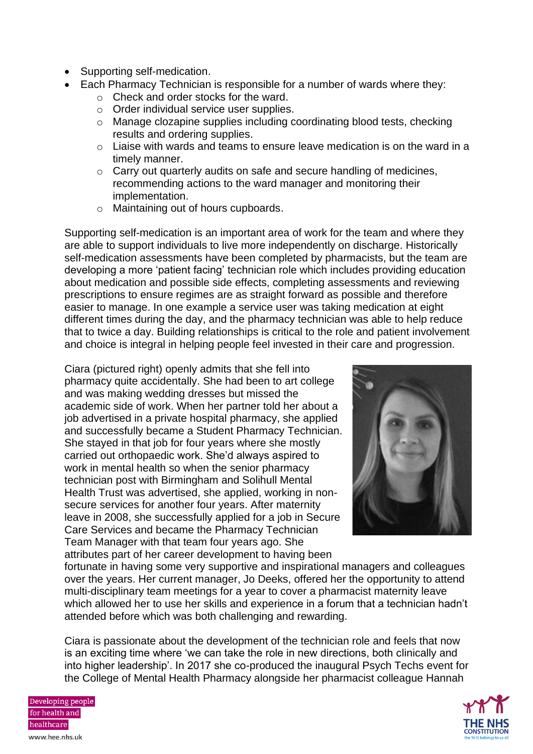- Supporting self-medication.
- Each Pharmacy Technician is responsible for a number of wards where they:
	- o Check and order stocks for the ward.
	- o Order individual service user supplies.
	- o Manage clozapine supplies including coordinating blood tests, checking results and ordering supplies.
	- o Liaise with wards and teams to ensure leave medication is on the ward in a timely manner.
	- o Carry out quarterly audits on safe and secure handling of medicines, recommending actions to the ward manager and monitoring their implementation.
	- o Maintaining out of hours cupboards.

Supporting self-medication is an important area of work for the team and where they are able to support individuals to live more independently on discharge. Historically self-medication assessments have been completed by pharmacists, but the team are developing a more 'patient facing' technician role which includes providing education about medication and possible side effects, completing assessments and reviewing prescriptions to ensure regimes are as straight forward as possible and therefore easier to manage. In one example a service user was taking medication at eight different times during the day, and the pharmacy technician was able to help reduce that to twice a day. Building relationships is critical to the role and patient involvement and choice is integral in helping people feel invested in their care and progression.

Ciara (pictured right) openly admits that she fell into pharmacy quite accidentally. She had been to art college and was making wedding dresses but missed the academic side of work. When her partner told her about a job advertised in a private hospital pharmacy, she applied and successfully became a Student Pharmacy Technician. She stayed in that job for four years where she mostly carried out orthopaedic work. She'd always aspired to work in mental health so when the senior pharmacy technician post with Birmingham and Solihull Mental Health Trust was advertised, she applied, working in nonsecure services for another four years. After maternity leave in 2008, she successfully applied for a job in Secure Care Services and became the Pharmacy Technician Team Manager with that team four years ago. She attributes part of her career development to having been



fortunate in having some very supportive and inspirational managers and colleagues over the years. Her current manager, Jo Deeks, offered her the opportunity to attend multi-disciplinary team meetings for a year to cover a pharmacist maternity leave which allowed her to use her skills and experience in a forum that a technician hadn't attended before which was both challenging and rewarding.

Ciara is passionate about the development of the technician role and feels that now is an exciting time where 'we can take the role in new directions, both clinically and into higher leadership'. In 2017 she co-produced the inaugural Psych Techs event for the College of Mental Health Pharmacy alongside her pharmacist colleague Hannah